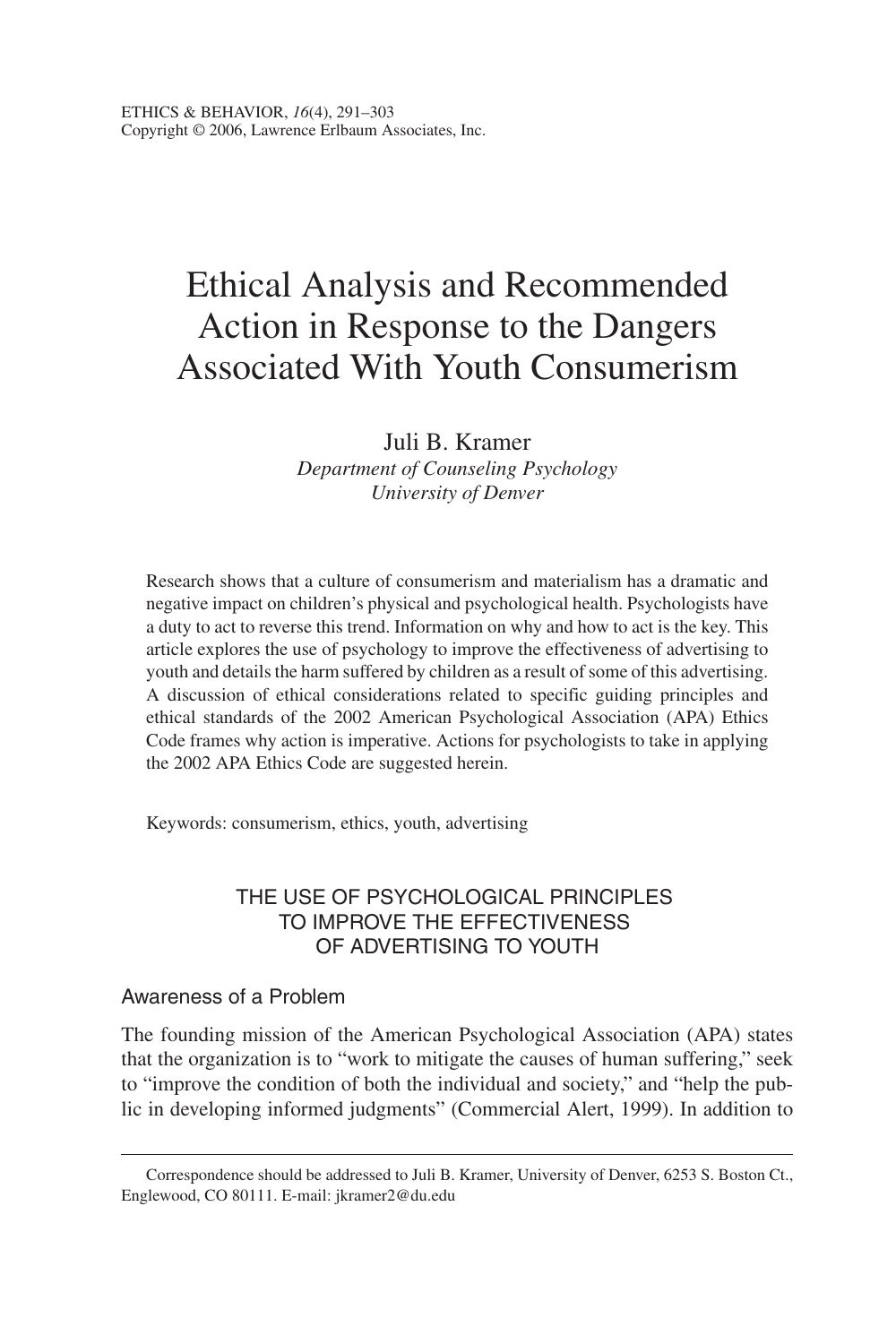# Ethical Analysis and Recommended Action in Response to the Dangers Associated With Youth Consumerism

# Juli B. Kramer

*Department of Counseling Psychology University of Denver*

Research shows that a culture of consumerism and materialism has a dramatic and negative impact on children's physical and psychological health. Psychologists have a duty to act to reverse this trend. Information on why and how to act is the key. This article explores the use of psychology to improve the effectiveness of advertising to youth and details the harm suffered by children as a result of some of this advertising. A discussion of ethical considerations related to specific guiding principles and ethical standards of the 2002 American Psychological Association (APA) Ethics Code frames why action is imperative. Actions for psychologists to take in applying the 2002 APA Ethics Code are suggested herein.

Keywords: consumerism, ethics, youth, advertising

## THE USE OF PSYCHOLOGICAL PRINCIPLES TO IMPROVE THE EFFECTIVENESS OF ADVERTISING TO YOUTH

#### Awareness of a Problem

The founding mission of the American Psychological Association (APA) states that the organization is to "work to mitigate the causes of human suffering," seek to "improve the condition of both the individual and society," and "help the public in developing informed judgments" (Commercial Alert, 1999). In addition to

Correspondence should be addressed to Juli B. Kramer, University of Denver, 6253 S. Boston Ct., Englewood, CO 80111. E-mail: jkramer2@du.edu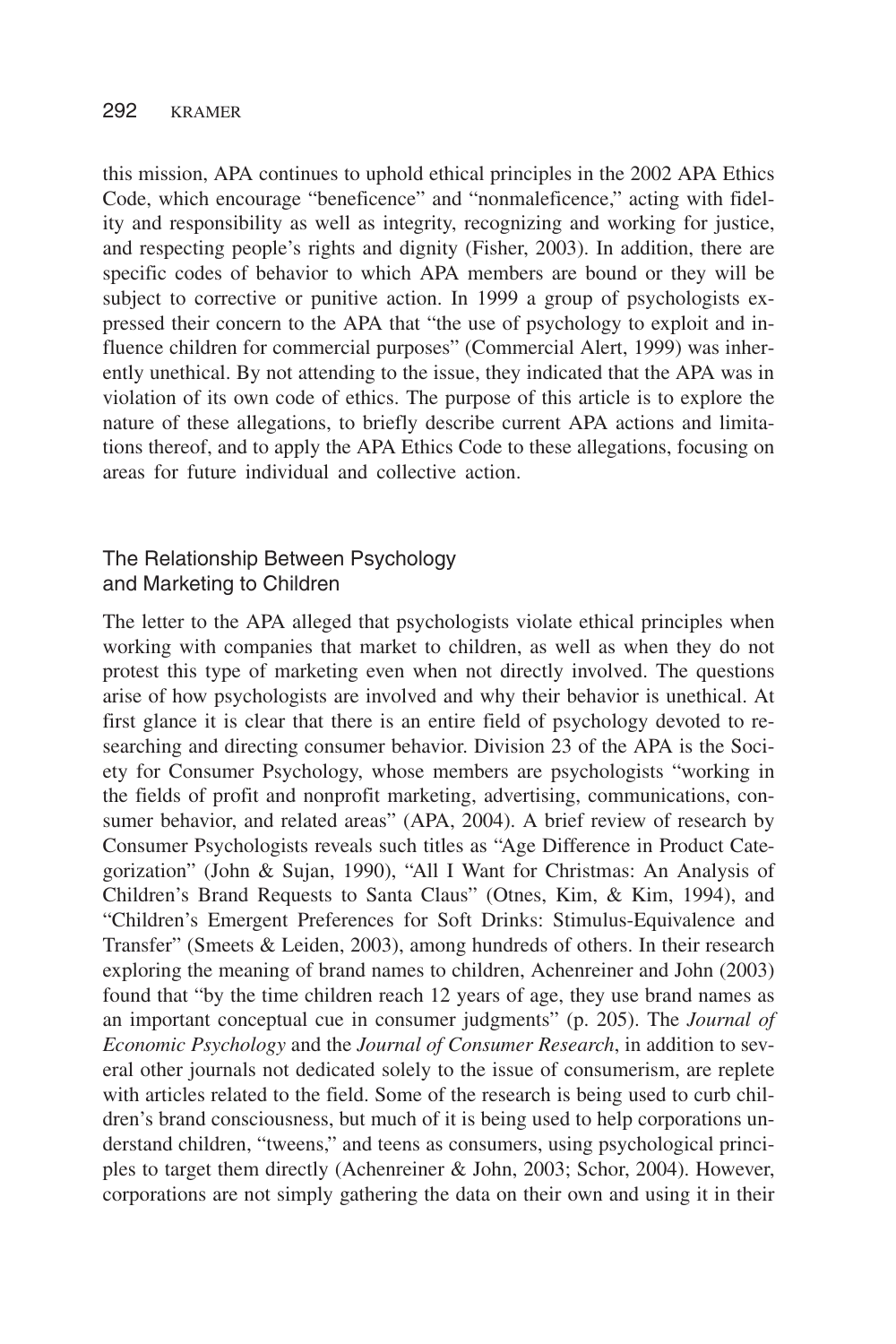this mission, APA continues to uphold ethical principles in the 2002 APA Ethics Code, which encourage "beneficence" and "nonmaleficence," acting with fidelity and responsibility as well as integrity, recognizing and working for justice, and respecting people's rights and dignity (Fisher, 2003). In addition, there are specific codes of behavior to which APA members are bound or they will be subject to corrective or punitive action. In 1999 a group of psychologists expressed their concern to the APA that "the use of psychology to exploit and influence children for commercial purposes" (Commercial Alert, 1999) was inherently unethical. By not attending to the issue, they indicated that the APA was in violation of its own code of ethics. The purpose of this article is to explore the nature of these allegations, to briefly describe current APA actions and limitations thereof, and to apply the APA Ethics Code to these allegations, focusing on areas for future individual and collective action.

## The Relationship Between Psychology and Marketing to Children

The letter to the APA alleged that psychologists violate ethical principles when working with companies that market to children, as well as when they do not protest this type of marketing even when not directly involved. The questions arise of how psychologists are involved and why their behavior is unethical. At first glance it is clear that there is an entire field of psychology devoted to researching and directing consumer behavior. Division 23 of the APA is the Society for Consumer Psychology, whose members are psychologists "working in the fields of profit and nonprofit marketing, advertising, communications, consumer behavior, and related areas" (APA, 2004). A brief review of research by Consumer Psychologists reveals such titles as "Age Difference in Product Categorization" (John & Sujan, 1990), "All I Want for Christmas: An Analysis of Children's Brand Requests to Santa Claus" (Otnes, Kim, & Kim, 1994), and "Children's Emergent Preferences for Soft Drinks: Stimulus-Equivalence and Transfer" (Smeets & Leiden, 2003), among hundreds of others. In their research exploring the meaning of brand names to children, Achenreiner and John (2003) found that "by the time children reach 12 years of age, they use brand names as an important conceptual cue in consumer judgments" (p. 205). The *Journal of Economic Psychology* and the *Journal of Consumer Research*, in addition to several other journals not dedicated solely to the issue of consumerism, are replete with articles related to the field. Some of the research is being used to curb children's brand consciousness, but much of it is being used to help corporations understand children, "tweens," and teens as consumers, using psychological principles to target them directly (Achenreiner & John, 2003; Schor, 2004). However, corporations are not simply gathering the data on their own and using it in their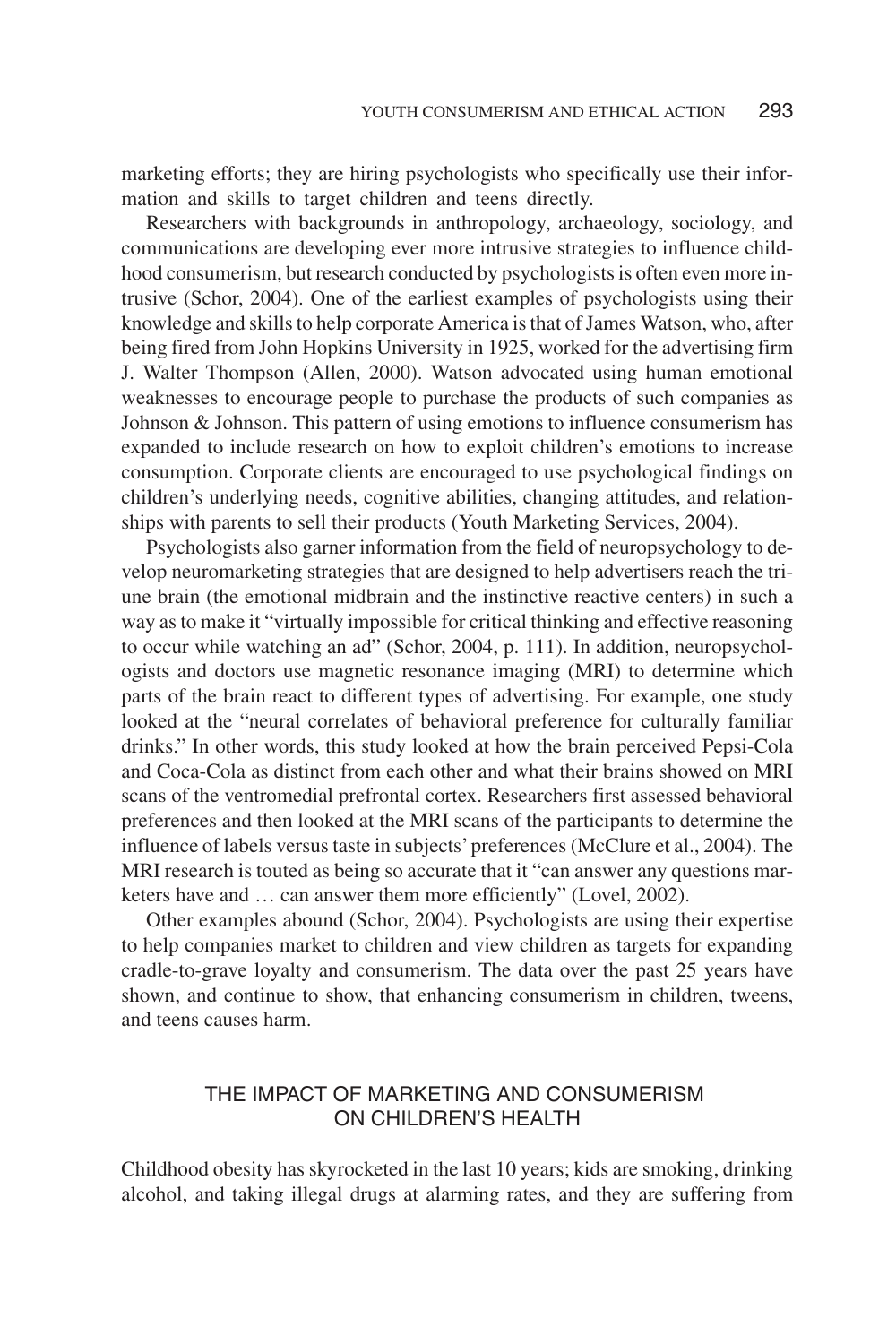marketing efforts; they are hiring psychologists who specifically use their information and skills to target children and teens directly.

Researchers with backgrounds in anthropology, archaeology, sociology, and communications are developing ever more intrusive strategies to influence childhood consumerism, but research conducted by psychologists is often even more intrusive (Schor, 2004). One of the earliest examples of psychologists using their knowledge and skills to help corporate America is that of James Watson, who, after being fired from John Hopkins University in 1925, worked for the advertising firm J. Walter Thompson (Allen, 2000). Watson advocated using human emotional weaknesses to encourage people to purchase the products of such companies as Johnson & Johnson. This pattern of using emotions to influence consumerism has expanded to include research on how to exploit children's emotions to increase consumption. Corporate clients are encouraged to use psychological findings on children's underlying needs, cognitive abilities, changing attitudes, and relationships with parents to sell their products (Youth Marketing Services, 2004).

Psychologists also garner information from the field of neuropsychology to develop neuromarketing strategies that are designed to help advertisers reach the triune brain (the emotional midbrain and the instinctive reactive centers) in such a way as to make it "virtually impossible for critical thinking and effective reasoning to occur while watching an ad" (Schor, 2004, p. 111). In addition, neuropsychologists and doctors use magnetic resonance imaging (MRI) to determine which parts of the brain react to different types of advertising. For example, one study looked at the "neural correlates of behavioral preference for culturally familiar drinks." In other words, this study looked at how the brain perceived Pepsi-Cola and Coca-Cola as distinct from each other and what their brains showed on MRI scans of the ventromedial prefrontal cortex. Researchers first assessed behavioral preferences and then looked at the MRI scans of the participants to determine the influence of labels versus taste in subjects'preferences (McClure et al., 2004). The MRI research is touted as being so accurate that it "can answer any questions marketers have and … can answer them more efficiently" (Lovel, 2002).

Other examples abound (Schor, 2004). Psychologists are using their expertise to help companies market to children and view children as targets for expanding cradle-to-grave loyalty and consumerism. The data over the past 25 years have shown, and continue to show, that enhancing consumerism in children, tweens, and teens causes harm.

# THE IMPACT OF MARKETING AND CONSUMERISM ON CHILDREN'S HEALTH

Childhood obesity has skyrocketed in the last 10 years; kids are smoking, drinking alcohol, and taking illegal drugs at alarming rates, and they are suffering from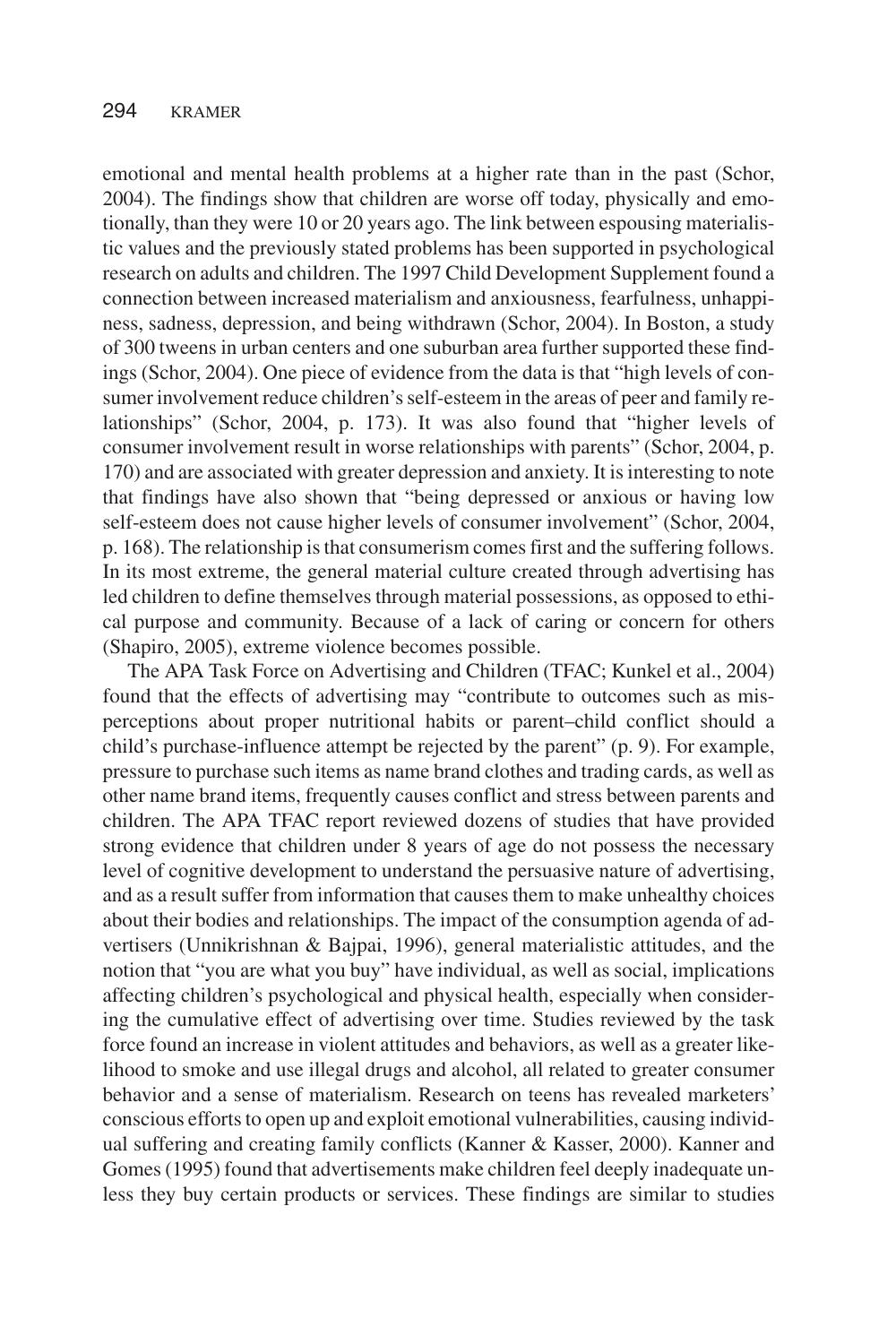emotional and mental health problems at a higher rate than in the past (Schor, 2004). The findings show that children are worse off today, physically and emotionally, than they were 10 or 20 years ago. The link between espousing materialistic values and the previously stated problems has been supported in psychological research on adults and children. The 1997 Child Development Supplement found a connection between increased materialism and anxiousness, fearfulness, unhappiness, sadness, depression, and being withdrawn (Schor, 2004). In Boston, a study of 300 tweens in urban centers and one suburban area further supported these findings (Schor, 2004). One piece of evidence from the data is that "high levels of consumer involvement reduce children's self-esteem in the areas of peer and family relationships" (Schor, 2004, p. 173). It was also found that "higher levels of consumer involvement result in worse relationships with parents" (Schor, 2004, p. 170) and are associated with greater depression and anxiety. It is interesting to note that findings have also shown that "being depressed or anxious or having low self-esteem does not cause higher levels of consumer involvement" (Schor, 2004, p. 168). The relationship is that consumerism comes first and the suffering follows. In its most extreme, the general material culture created through advertising has led children to define themselves through material possessions, as opposed to ethical purpose and community. Because of a lack of caring or concern for others (Shapiro, 2005), extreme violence becomes possible.

The APA Task Force on Advertising and Children (TFAC; Kunkel et al., 2004) found that the effects of advertising may "contribute to outcomes such as misperceptions about proper nutritional habits or parent–child conflict should a child's purchase-influence attempt be rejected by the parent" (p. 9). For example, pressure to purchase such items as name brand clothes and trading cards, as well as other name brand items, frequently causes conflict and stress between parents and children. The APA TFAC report reviewed dozens of studies that have provided strong evidence that children under 8 years of age do not possess the necessary level of cognitive development to understand the persuasive nature of advertising, and as a result suffer from information that causes them to make unhealthy choices about their bodies and relationships. The impact of the consumption agenda of advertisers (Unnikrishnan & Bajpai, 1996), general materialistic attitudes, and the notion that "you are what you buy" have individual, as well as social, implications affecting children's psychological and physical health, especially when considering the cumulative effect of advertising over time. Studies reviewed by the task force found an increase in violent attitudes and behaviors, as well as a greater likelihood to smoke and use illegal drugs and alcohol, all related to greater consumer behavior and a sense of materialism. Research on teens has revealed marketers' conscious efforts to open up and exploit emotional vulnerabilities, causing individual suffering and creating family conflicts (Kanner & Kasser, 2000). Kanner and Gomes (1995) found that advertisements make children feel deeply inadequate unless they buy certain products or services. These findings are similar to studies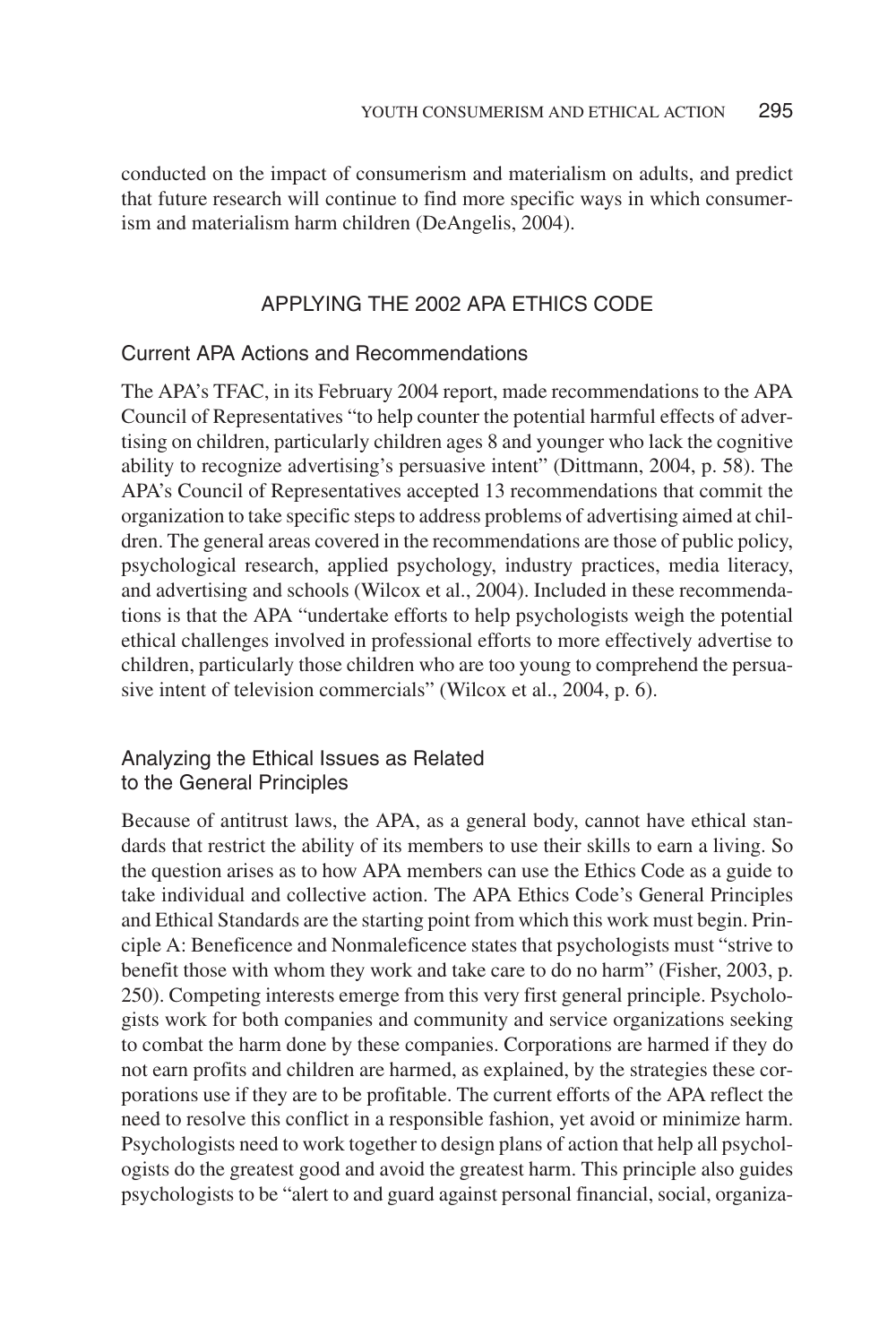conducted on the impact of consumerism and materialism on adults, and predict that future research will continue to find more specific ways in which consumerism and materialism harm children (DeAngelis, 2004).

## APPLYING THE 2002 APA ETHICS CODE

#### Current APA Actions and Recommendations

The APA's TFAC, in its February 2004 report, made recommendations to the APA Council of Representatives "to help counter the potential harmful effects of advertising on children, particularly children ages 8 and younger who lack the cognitive ability to recognize advertising's persuasive intent" (Dittmann, 2004, p. 58). The APA's Council of Representatives accepted 13 recommendations that commit the organization to take specific steps to address problems of advertising aimed at children. The general areas covered in the recommendations are those of public policy, psychological research, applied psychology, industry practices, media literacy, and advertising and schools (Wilcox et al., 2004). Included in these recommendations is that the APA "undertake efforts to help psychologists weigh the potential ethical challenges involved in professional efforts to more effectively advertise to children, particularly those children who are too young to comprehend the persuasive intent of television commercials" (Wilcox et al., 2004, p. 6).

## Analyzing the Ethical Issues as Related to the General Principles

Because of antitrust laws, the APA, as a general body, cannot have ethical standards that restrict the ability of its members to use their skills to earn a living. So the question arises as to how APA members can use the Ethics Code as a guide to take individual and collective action. The APA Ethics Code's General Principles and Ethical Standards are the starting point from which this work must begin. Principle A: Beneficence and Nonmaleficence states that psychologists must "strive to benefit those with whom they work and take care to do no harm" (Fisher, 2003, p. 250). Competing interests emerge from this very first general principle. Psychologists work for both companies and community and service organizations seeking to combat the harm done by these companies. Corporations are harmed if they do not earn profits and children are harmed, as explained, by the strategies these corporations use if they are to be profitable. The current efforts of the APA reflect the need to resolve this conflict in a responsible fashion, yet avoid or minimize harm. Psychologists need to work together to design plans of action that help all psychologists do the greatest good and avoid the greatest harm. This principle also guides psychologists to be "alert to and guard against personal financial, social, organiza-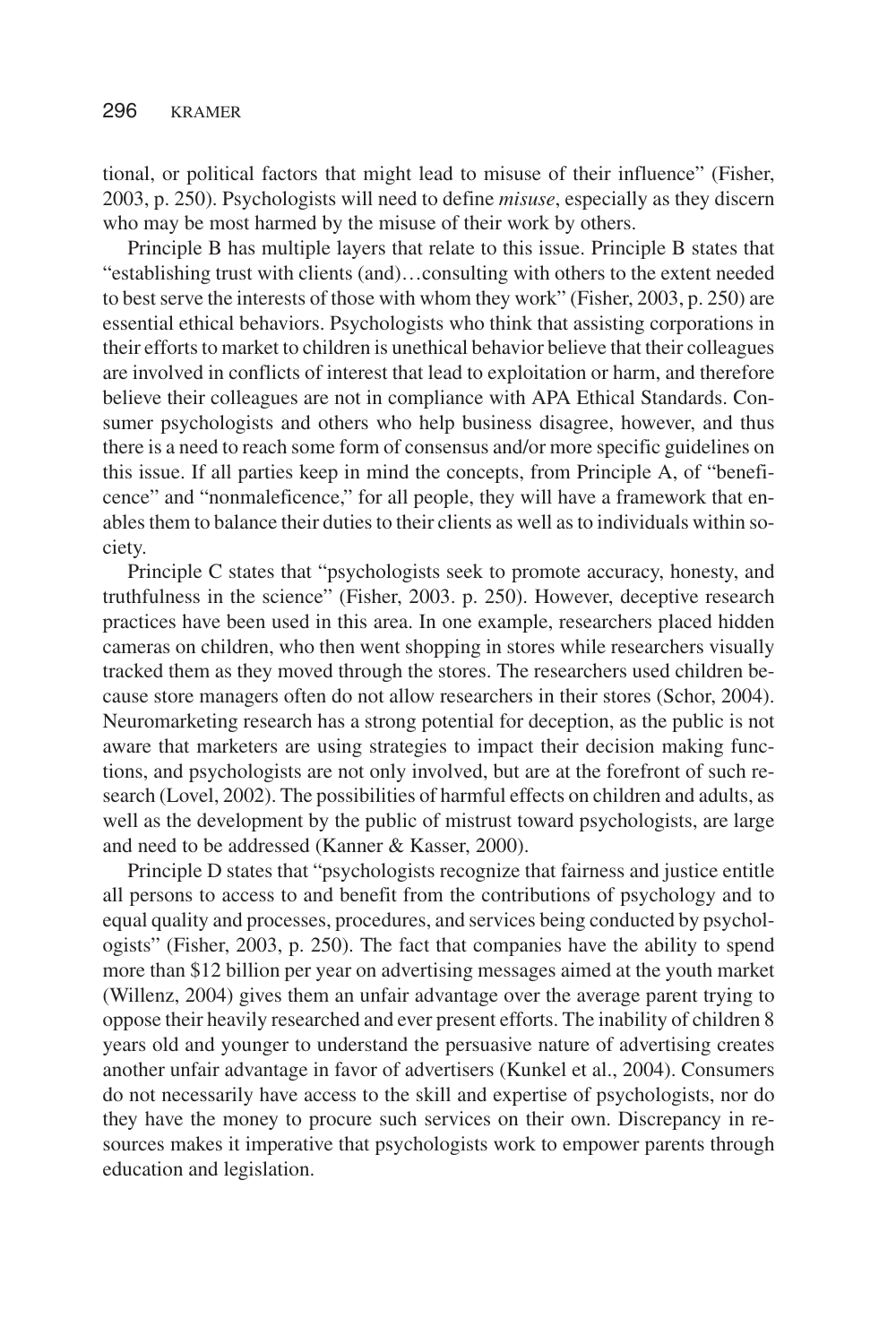tional, or political factors that might lead to misuse of their influence" (Fisher, 2003, p. 250). Psychologists will need to define *misuse*, especially as they discern who may be most harmed by the misuse of their work by others.

Principle B has multiple layers that relate to this issue. Principle B states that "establishing trust with clients (and)…consulting with others to the extent needed to best serve the interests of those with whom they work" (Fisher, 2003, p. 250) are essential ethical behaviors. Psychologists who think that assisting corporations in their efforts to market to children is unethical behavior believe that their colleagues are involved in conflicts of interest that lead to exploitation or harm, and therefore believe their colleagues are not in compliance with APA Ethical Standards. Consumer psychologists and others who help business disagree, however, and thus there is a need to reach some form of consensus and/or more specific guidelines on this issue. If all parties keep in mind the concepts, from Principle A, of "beneficence" and "nonmaleficence," for all people, they will have a framework that enables them to balance their duties to their clients as well as to individuals within society.

Principle C states that "psychologists seek to promote accuracy, honesty, and truthfulness in the science" (Fisher, 2003. p. 250). However, deceptive research practices have been used in this area. In one example, researchers placed hidden cameras on children, who then went shopping in stores while researchers visually tracked them as they moved through the stores. The researchers used children because store managers often do not allow researchers in their stores (Schor, 2004). Neuromarketing research has a strong potential for deception, as the public is not aware that marketers are using strategies to impact their decision making functions, and psychologists are not only involved, but are at the forefront of such research (Lovel, 2002). The possibilities of harmful effects on children and adults, as well as the development by the public of mistrust toward psychologists, are large and need to be addressed (Kanner & Kasser, 2000).

Principle D states that "psychologists recognize that fairness and justice entitle all persons to access to and benefit from the contributions of psychology and to equal quality and processes, procedures, and services being conducted by psychologists" (Fisher, 2003, p. 250). The fact that companies have the ability to spend more than \$12 billion per year on advertising messages aimed at the youth market (Willenz, 2004) gives them an unfair advantage over the average parent trying to oppose their heavily researched and ever present efforts. The inability of children 8 years old and younger to understand the persuasive nature of advertising creates another unfair advantage in favor of advertisers (Kunkel et al., 2004). Consumers do not necessarily have access to the skill and expertise of psychologists, nor do they have the money to procure such services on their own. Discrepancy in resources makes it imperative that psychologists work to empower parents through education and legislation.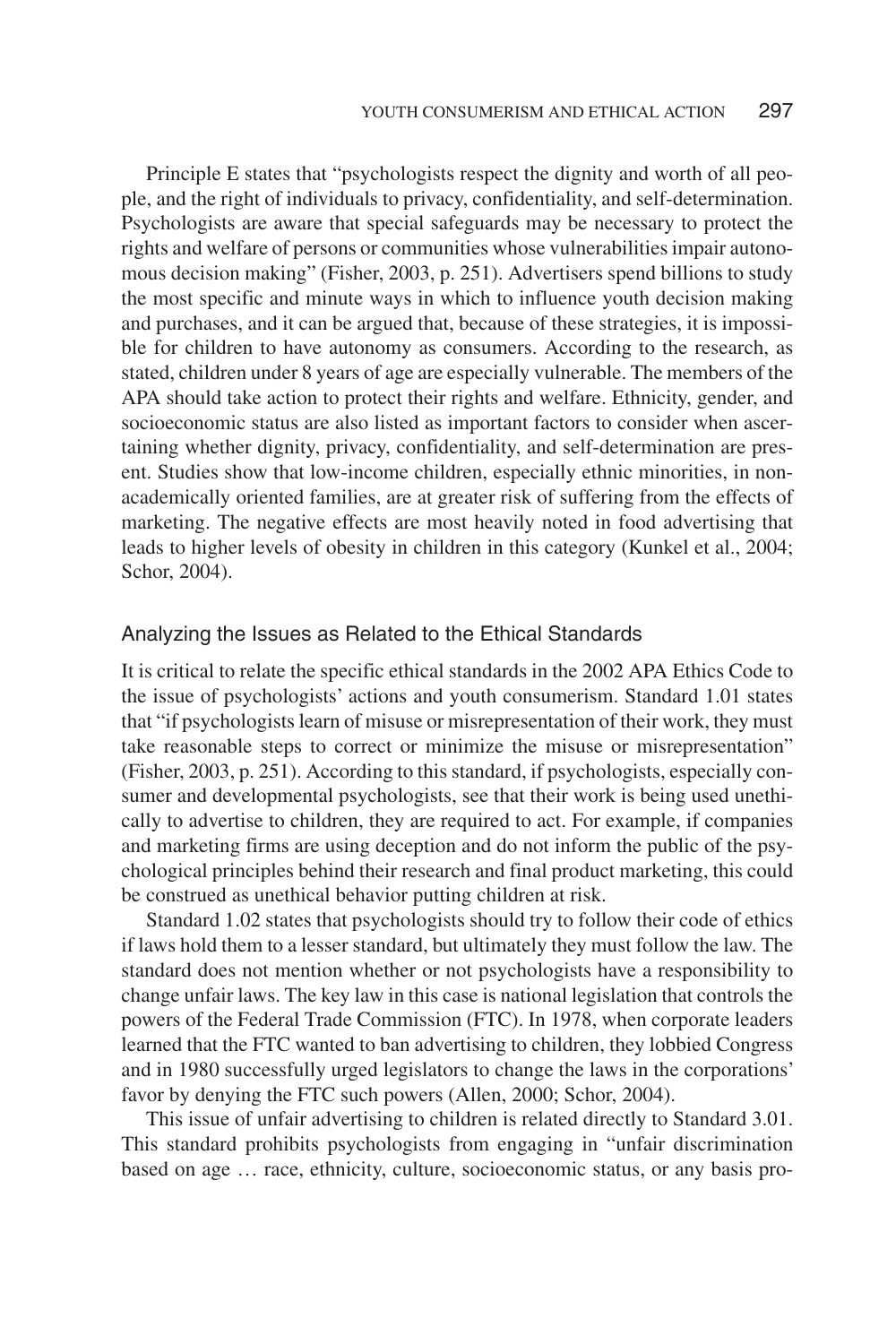Principle E states that "psychologists respect the dignity and worth of all people, and the right of individuals to privacy, confidentiality, and self-determination. Psychologists are aware that special safeguards may be necessary to protect the rights and welfare of persons or communities whose vulnerabilities impair autonomous decision making" (Fisher, 2003, p. 251). Advertisers spend billions to study the most specific and minute ways in which to influence youth decision making and purchases, and it can be argued that, because of these strategies, it is impossible for children to have autonomy as consumers. According to the research, as stated, children under 8 years of age are especially vulnerable. The members of the APA should take action to protect their rights and welfare. Ethnicity, gender, and socioeconomic status are also listed as important factors to consider when ascertaining whether dignity, privacy, confidentiality, and self-determination are present. Studies show that low-income children, especially ethnic minorities, in nonacademically oriented families, are at greater risk of suffering from the effects of marketing. The negative effects are most heavily noted in food advertising that leads to higher levels of obesity in children in this category (Kunkel et al., 2004; Schor, 2004).

#### Analyzing the Issues as Related to the Ethical Standards

It is critical to relate the specific ethical standards in the 2002 APA Ethics Code to the issue of psychologists' actions and youth consumerism. Standard 1.01 states that "if psychologists learn of misuse or misrepresentation of their work, they must take reasonable steps to correct or minimize the misuse or misrepresentation" (Fisher, 2003, p. 251). According to this standard, if psychologists, especially consumer and developmental psychologists, see that their work is being used unethically to advertise to children, they are required to act. For example, if companies and marketing firms are using deception and do not inform the public of the psychological principles behind their research and final product marketing, this could be construed as unethical behavior putting children at risk.

Standard 1.02 states that psychologists should try to follow their code of ethics if laws hold them to a lesser standard, but ultimately they must follow the law. The standard does not mention whether or not psychologists have a responsibility to change unfair laws. The key law in this case is national legislation that controls the powers of the Federal Trade Commission (FTC). In 1978, when corporate leaders learned that the FTC wanted to ban advertising to children, they lobbied Congress and in 1980 successfully urged legislators to change the laws in the corporations' favor by denying the FTC such powers (Allen, 2000; Schor, 2004).

This issue of unfair advertising to children is related directly to Standard 3.01. This standard prohibits psychologists from engaging in "unfair discrimination based on age … race, ethnicity, culture, socioeconomic status, or any basis pro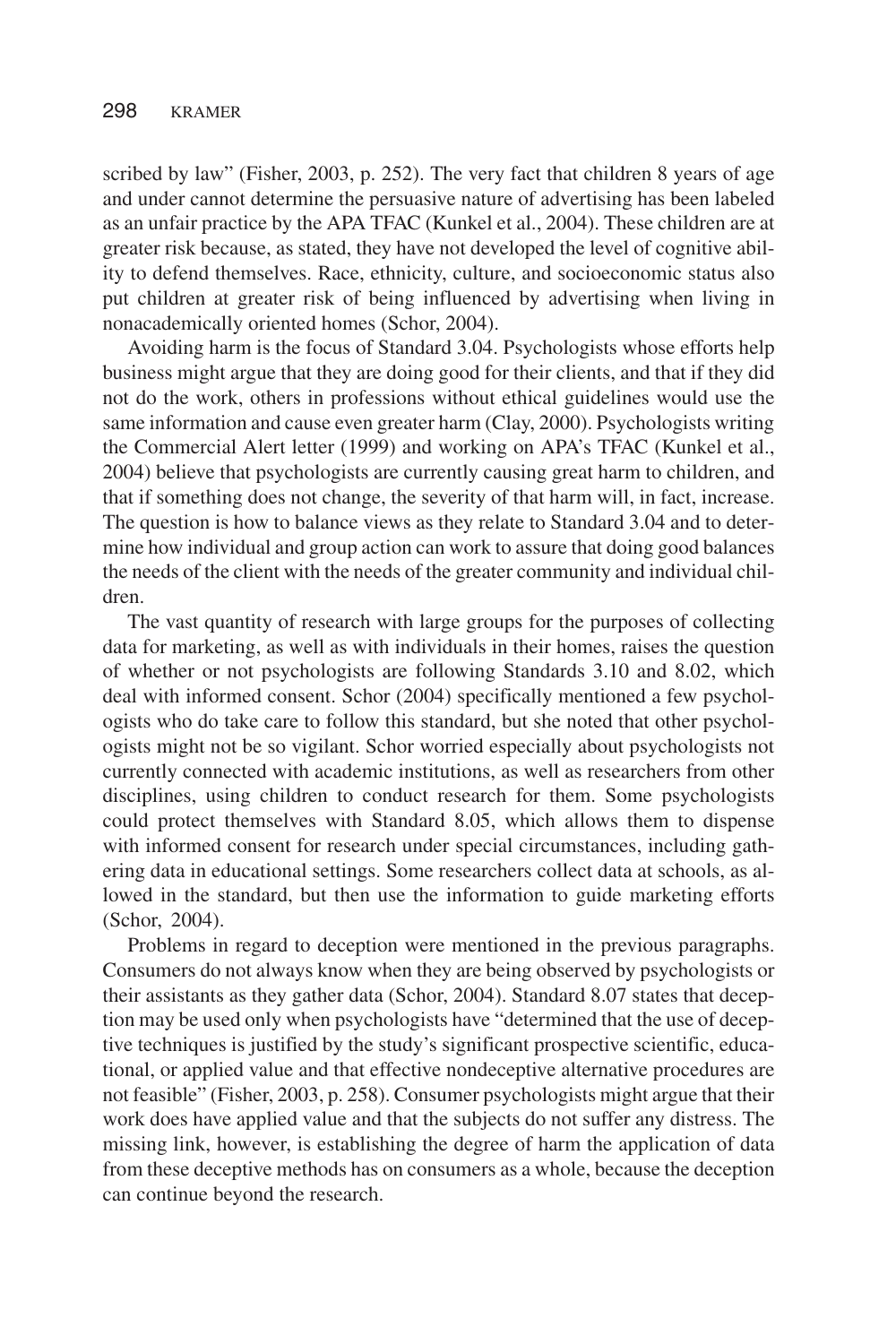scribed by law" (Fisher, 2003, p. 252). The very fact that children 8 years of age and under cannot determine the persuasive nature of advertising has been labeled as an unfair practice by the APA TFAC (Kunkel et al., 2004). These children are at greater risk because, as stated, they have not developed the level of cognitive ability to defend themselves. Race, ethnicity, culture, and socioeconomic status also put children at greater risk of being influenced by advertising when living in nonacademically oriented homes (Schor, 2004).

Avoiding harm is the focus of Standard 3.04. Psychologists whose efforts help business might argue that they are doing good for their clients, and that if they did not do the work, others in professions without ethical guidelines would use the same information and cause even greater harm (Clay, 2000). Psychologists writing the Commercial Alert letter (1999) and working on APA's TFAC (Kunkel et al., 2004) believe that psychologists are currently causing great harm to children, and that if something does not change, the severity of that harm will, in fact, increase. The question is how to balance views as they relate to Standard 3.04 and to determine how individual and group action can work to assure that doing good balances the needs of the client with the needs of the greater community and individual children.

The vast quantity of research with large groups for the purposes of collecting data for marketing, as well as with individuals in their homes, raises the question of whether or not psychologists are following Standards 3.10 and 8.02, which deal with informed consent. Schor (2004) specifically mentioned a few psychologists who do take care to follow this standard, but she noted that other psychologists might not be so vigilant. Schor worried especially about psychologists not currently connected with academic institutions, as well as researchers from other disciplines, using children to conduct research for them. Some psychologists could protect themselves with Standard 8.05, which allows them to dispense with informed consent for research under special circumstances, including gathering data in educational settings. Some researchers collect data at schools, as allowed in the standard, but then use the information to guide marketing efforts (Schor, 2004).

Problems in regard to deception were mentioned in the previous paragraphs. Consumers do not always know when they are being observed by psychologists or their assistants as they gather data (Schor, 2004). Standard 8.07 states that deception may be used only when psychologists have "determined that the use of deceptive techniques is justified by the study's significant prospective scientific, educational, or applied value and that effective nondeceptive alternative procedures are not feasible" (Fisher, 2003, p. 258). Consumer psychologists might argue that their work does have applied value and that the subjects do not suffer any distress. The missing link, however, is establishing the degree of harm the application of data from these deceptive methods has on consumers as a whole, because the deception can continue beyond the research.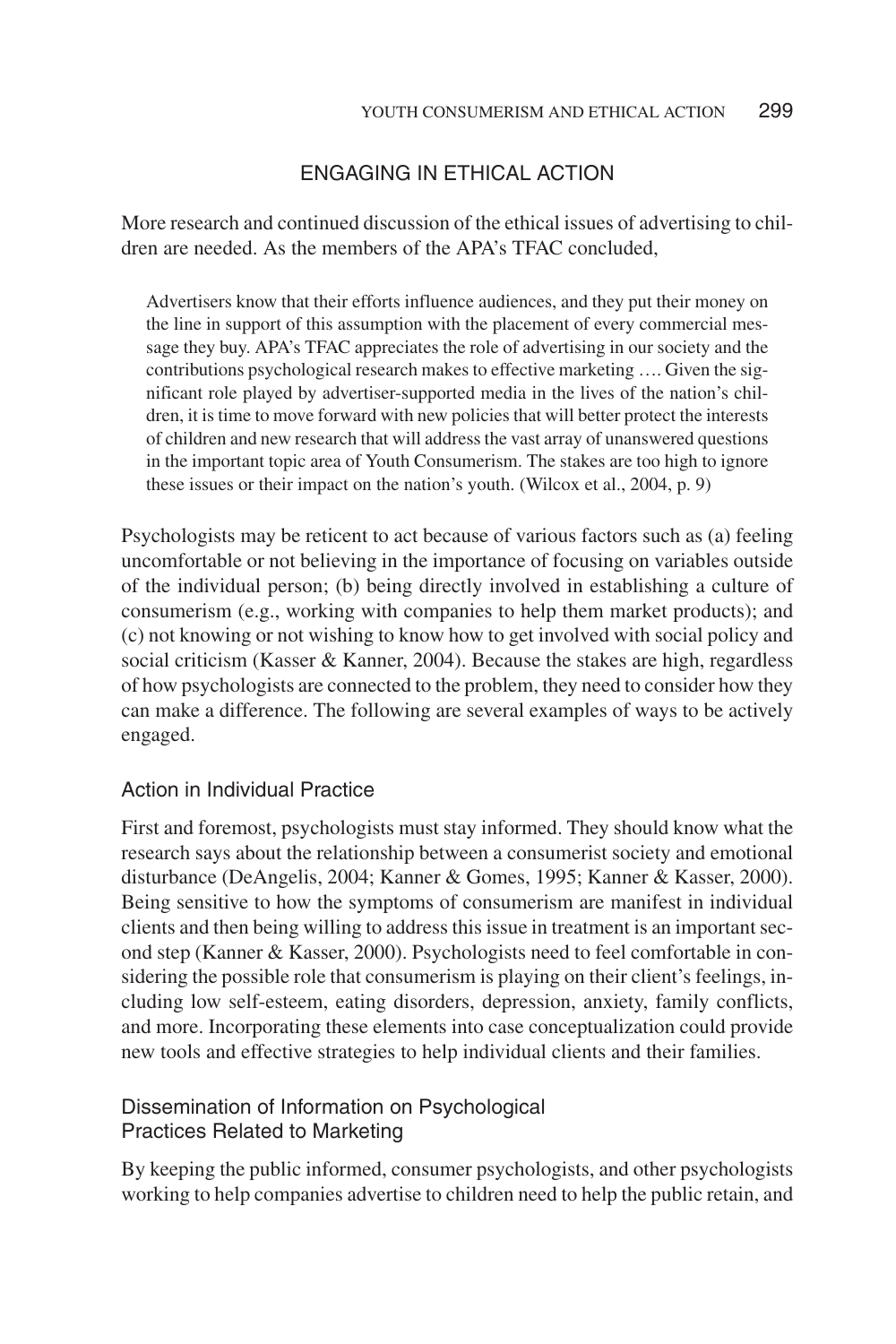## ENGAGING IN ETHICAL ACTION

More research and continued discussion of the ethical issues of advertising to children are needed. As the members of the APA's TFAC concluded,

Advertisers know that their efforts influence audiences, and they put their money on the line in support of this assumption with the placement of every commercial message they buy. APA's TFAC appreciates the role of advertising in our society and the contributions psychological research makes to effective marketing …. Given the significant role played by advertiser-supported media in the lives of the nation's children, it is time to move forward with new policies that will better protect the interests of children and new research that will address the vast array of unanswered questions in the important topic area of Youth Consumerism. The stakes are too high to ignore these issues or their impact on the nation's youth. (Wilcox et al., 2004, p. 9)

Psychologists may be reticent to act because of various factors such as (a) feeling uncomfortable or not believing in the importance of focusing on variables outside of the individual person; (b) being directly involved in establishing a culture of consumerism (e.g., working with companies to help them market products); and (c) not knowing or not wishing to know how to get involved with social policy and social criticism (Kasser & Kanner, 2004). Because the stakes are high, regardless of how psychologists are connected to the problem, they need to consider how they can make a difference. The following are several examples of ways to be actively engaged.

## Action in Individual Practice

First and foremost, psychologists must stay informed. They should know what the research says about the relationship between a consumerist society and emotional disturbance (DeAngelis, 2004; Kanner & Gomes, 1995; Kanner & Kasser, 2000). Being sensitive to how the symptoms of consumerism are manifest in individual clients and then being willing to address this issue in treatment is an important second step (Kanner & Kasser, 2000). Psychologists need to feel comfortable in considering the possible role that consumerism is playing on their client's feelings, including low self-esteem, eating disorders, depression, anxiety, family conflicts, and more. Incorporating these elements into case conceptualization could provide new tools and effective strategies to help individual clients and their families.

# Dissemination of Information on Psychological Practices Related to Marketing

By keeping the public informed, consumer psychologists, and other psychologists working to help companies advertise to children need to help the public retain, and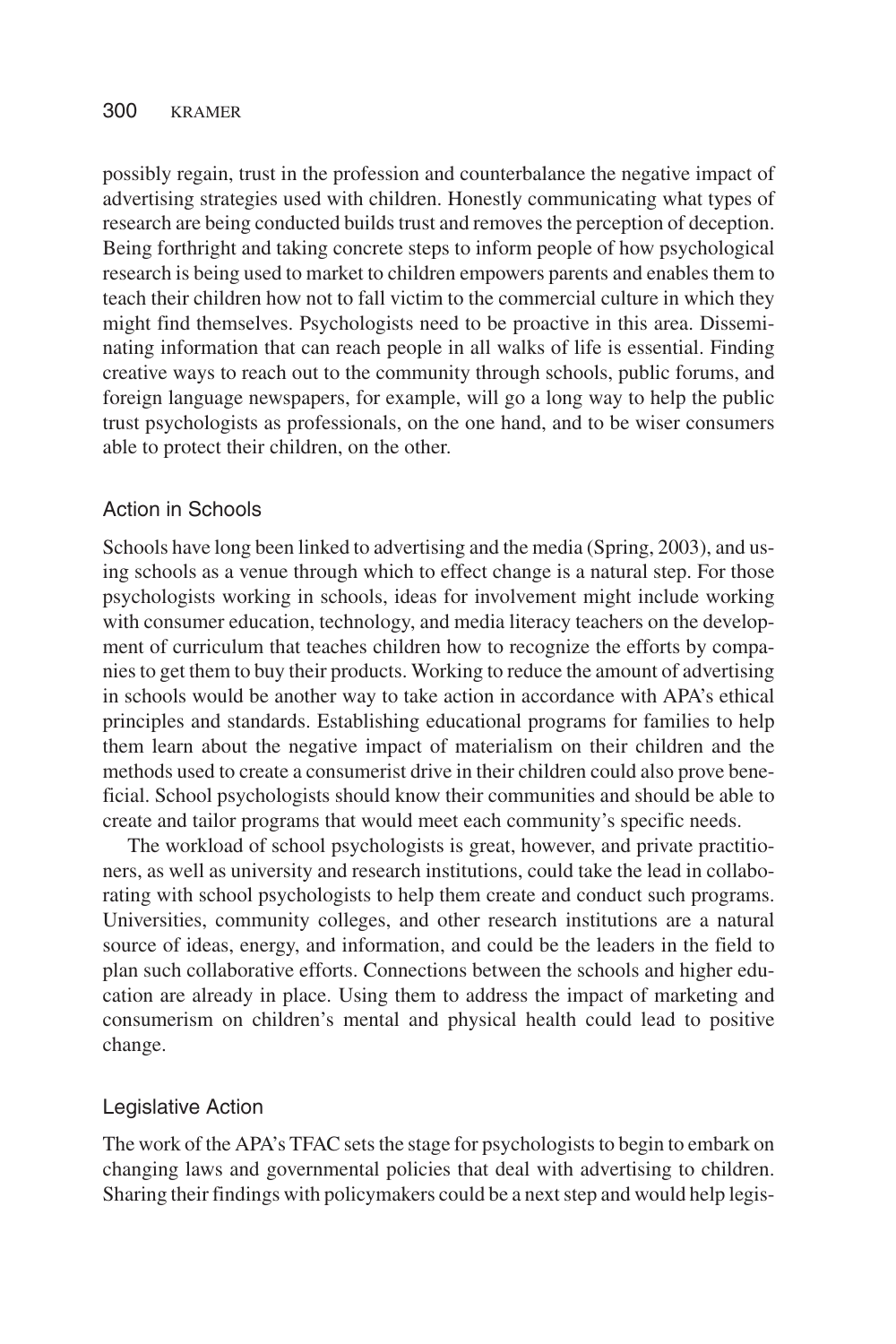## 300 KRAMER

possibly regain, trust in the profession and counterbalance the negative impact of advertising strategies used with children. Honestly communicating what types of research are being conducted builds trust and removes the perception of deception. Being forthright and taking concrete steps to inform people of how psychological research is being used to market to children empowers parents and enables them to teach their children how not to fall victim to the commercial culture in which they might find themselves. Psychologists need to be proactive in this area. Disseminating information that can reach people in all walks of life is essential. Finding creative ways to reach out to the community through schools, public forums, and foreign language newspapers, for example, will go a long way to help the public trust psychologists as professionals, on the one hand, and to be wiser consumers able to protect their children, on the other.

#### Action in Schools

Schools have long been linked to advertising and the media (Spring, 2003), and using schools as a venue through which to effect change is a natural step. For those psychologists working in schools, ideas for involvement might include working with consumer education, technology, and media literacy teachers on the development of curriculum that teaches children how to recognize the efforts by companies to get them to buy their products. Working to reduce the amount of advertising in schools would be another way to take action in accordance with APA's ethical principles and standards. Establishing educational programs for families to help them learn about the negative impact of materialism on their children and the methods used to create a consumerist drive in their children could also prove beneficial. School psychologists should know their communities and should be able to create and tailor programs that would meet each community's specific needs.

The workload of school psychologists is great, however, and private practitioners, as well as university and research institutions, could take the lead in collaborating with school psychologists to help them create and conduct such programs. Universities, community colleges, and other research institutions are a natural source of ideas, energy, and information, and could be the leaders in the field to plan such collaborative efforts. Connections between the schools and higher education are already in place. Using them to address the impact of marketing and consumerism on children's mental and physical health could lead to positive change.

#### Legislative Action

The work of the APA's TFAC sets the stage for psychologists to begin to embark on changing laws and governmental policies that deal with advertising to children. Sharing their findings with policymakers could be a next step and would help legis-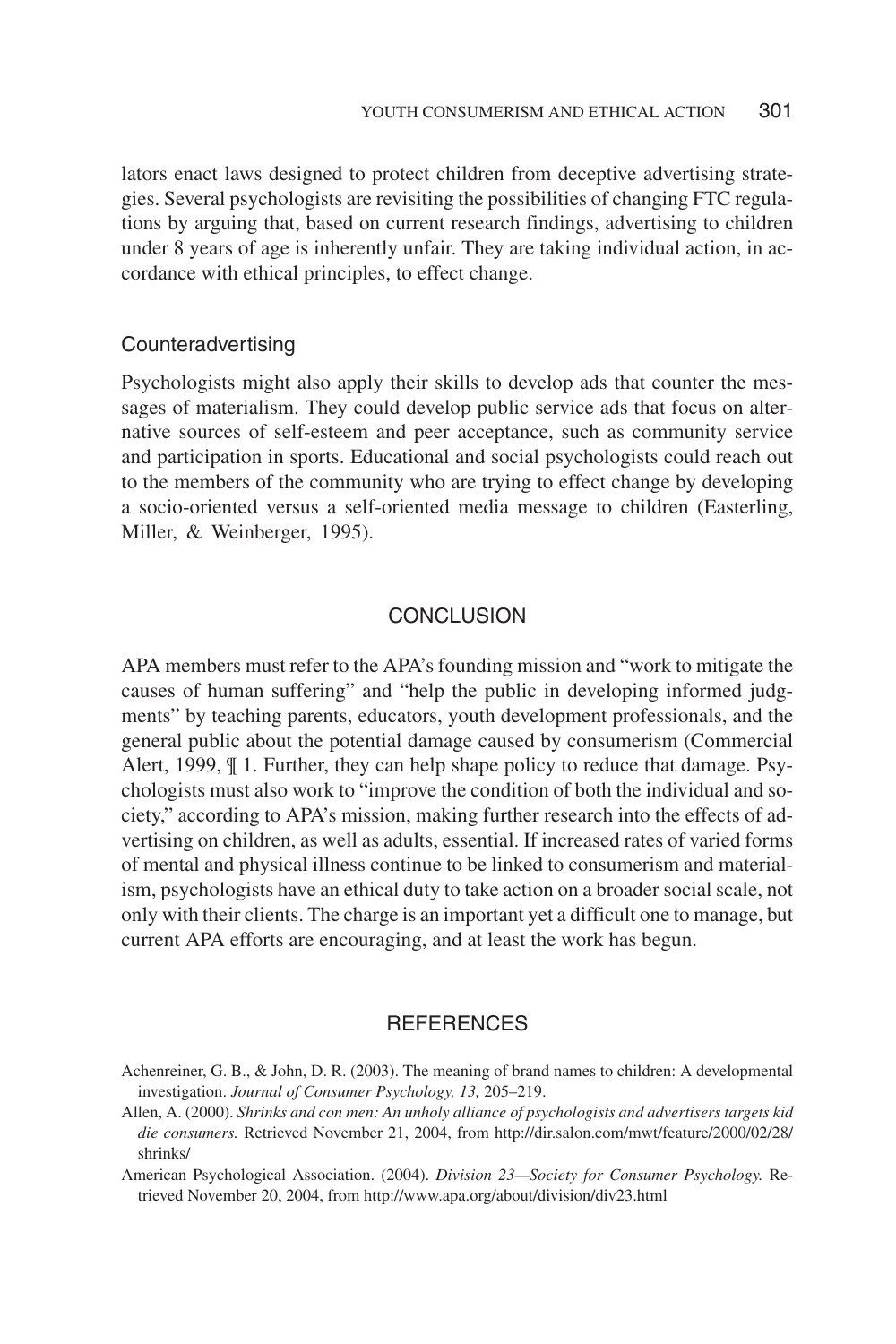lators enact laws designed to protect children from deceptive advertising strategies. Several psychologists are revisiting the possibilities of changing FTC regulations by arguing that, based on current research findings, advertising to children under 8 years of age is inherently unfair. They are taking individual action, in accordance with ethical principles, to effect change.

#### Counteradvertising

Psychologists might also apply their skills to develop ads that counter the messages of materialism. They could develop public service ads that focus on alternative sources of self-esteem and peer acceptance, such as community service and participation in sports. Educational and social psychologists could reach out to the members of the community who are trying to effect change by developing a socio-oriented versus a self-oriented media message to children (Easterling, Miller, & Weinberger, 1995).

## **CONCLUSION**

APA members must refer to the APA's founding mission and "work to mitigate the causes of human suffering" and "help the public in developing informed judgments" by teaching parents, educators, youth development professionals, and the general public about the potential damage caused by consumerism (Commercial Alert, 1999, ¶ 1. Further, they can help shape policy to reduce that damage. Psychologists must also work to "improve the condition of both the individual and society," according to APA's mission, making further research into the effects of advertising on children, as well as adults, essential. If increased rates of varied forms of mental and physical illness continue to be linked to consumerism and materialism, psychologists have an ethical duty to take action on a broader social scale, not only with their clients. The charge is an important yet a difficult one to manage, but current APA efforts are encouraging, and at least the work has begun.

## **REFERENCES**

Achenreiner, G. B., & John, D. R. (2003). The meaning of brand names to children: A developmental investigation. *Journal of Consumer Psychology, 13,* 205–219.

Allen, A. (2000). *Shrinks and con men: An unholy alliance of psychologists and advertisers targets kid die consumers.* Retrieved November 21, 2004, from http://dir.salon.com/mwt/feature/2000/02/28/ shrinks/

American Psychological Association. (2004). *Division 23—Society for Consumer Psychology.* Retrieved November 20, 2004, from http://www.apa.org/about/division/div23.html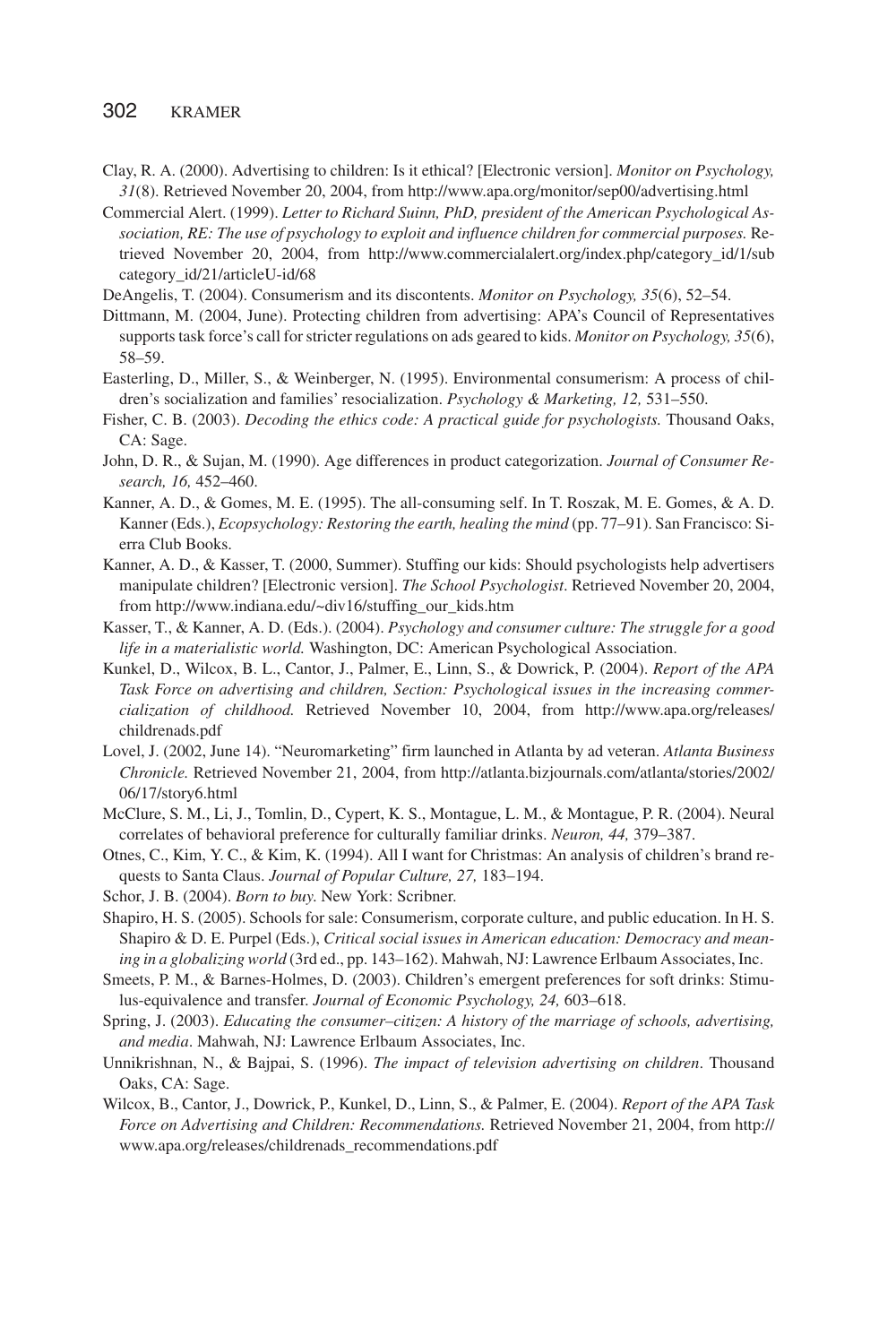#### 302 KRAMER

- Clay, R. A. (2000). Advertising to children: Is it ethical? [Electronic version]. *Monitor on Psychology, 31*(8). Retrieved November 20, 2004, from http://www.apa.org/monitor/sep00/advertising.html
- Commercial Alert. (1999). *Letter to Richard Suinn, PhD, president of the American Psychological Association, RE: The use of psychology to exploit and influence children for commercial purposes.* Retrieved November 20, 2004, from http://www.commercialalert.org/index.php/category\_id/1/sub category\_id/21/articleU-id/68
- DeAngelis, T. (2004). Consumerism and its discontents. *Monitor on Psychology, 35*(6), 52–54.
- Dittmann, M. (2004, June). Protecting children from advertising: APA's Council of Representatives supports task force's call for stricter regulations on ads geared to kids. *Monitor on Psychology, 35*(6), 58–59.
- Easterling, D., Miller, S., & Weinberger, N. (1995). Environmental consumerism: A process of children's socialization and families' resocialization. *Psychology & Marketing, 12,* 531–550.
- Fisher, C. B. (2003). *Decoding the ethics code: A practical guide for psychologists.* Thousand Oaks, CA: Sage.
- John, D. R., & Sujan, M. (1990). Age differences in product categorization. *Journal of Consumer Research, 16,* 452–460.
- Kanner, A. D., & Gomes, M. E. (1995). The all-consuming self. In T. Roszak, M. E. Gomes, & A. D. Kanner (Eds.), *Ecopsychology: Restoring the earth, healing the mind* (pp. 77–91). San Francisco: Sierra Club Books.
- Kanner, A. D., & Kasser, T. (2000, Summer). Stuffing our kids: Should psychologists help advertisers manipulate children? [Electronic version]. *The School Psychologist*. Retrieved November 20, 2004, from http://www.indiana.edu/~div16/stuffing\_our\_kids.htm
- Kasser, T., & Kanner, A. D. (Eds.). (2004). *Psychology and consumer culture: The struggle for a good life in a materialistic world.* Washington, DC: American Psychological Association.
- Kunkel, D., Wilcox, B. L., Cantor, J., Palmer, E., Linn, S., & Dowrick, P. (2004). *Report of the APA Task Force on advertising and children, Section: Psychological issues in the increasing commercialization of childhood.* Retrieved November 10, 2004, from http://www.apa.org/releases/ childrenads.pdf
- Lovel, J. (2002, June 14). "Neuromarketing" firm launched in Atlanta by ad veteran. *Atlanta Business Chronicle.* Retrieved November 21, 2004, from http://atlanta.bizjournals.com/atlanta/stories/2002/ 06/17/story6.html
- McClure, S. M., Li, J., Tomlin, D., Cypert, K. S., Montague, L. M., & Montague, P. R. (2004). Neural correlates of behavioral preference for culturally familiar drinks. *Neuron, 44,* 379–387.
- Otnes, C., Kim, Y. C., & Kim, K. (1994). All I want for Christmas: An analysis of children's brand requests to Santa Claus. *Journal of Popular Culture, 27,* 183–194.
- Schor, J. B. (2004). *Born to buy*. New York: Scribner.
- Shapiro, H. S. (2005). Schools for sale: Consumerism, corporate culture, and public education. In H. S. Shapiro & D. E. Purpel (Eds.), *Critical social issues in American education: Democracy and meaning in a globalizing world* (3rd ed., pp. 143–162). Mahwah, NJ: Lawrence Erlbaum Associates, Inc.
- Smeets, P. M., & Barnes-Holmes, D. (2003). Children's emergent preferences for soft drinks: Stimulus-equivalence and transfer. *Journal of Economic Psychology, 24,* 603–618.
- Spring, J. (2003). *Educating the consumer–citizen: A history of the marriage of schools, advertising, and media*. Mahwah, NJ: Lawrence Erlbaum Associates, Inc.
- Unnikrishnan, N., & Bajpai, S. (1996). *The impact of television advertising on children*. Thousand Oaks, CA: Sage.
- Wilcox, B., Cantor, J., Dowrick, P., Kunkel, D., Linn, S., & Palmer, E. (2004). *Report of the APA Task Force on Advertising and Children: Recommendations.* Retrieved November 21, 2004, from http:// www.apa.org/releases/childrenads\_recommendations.pdf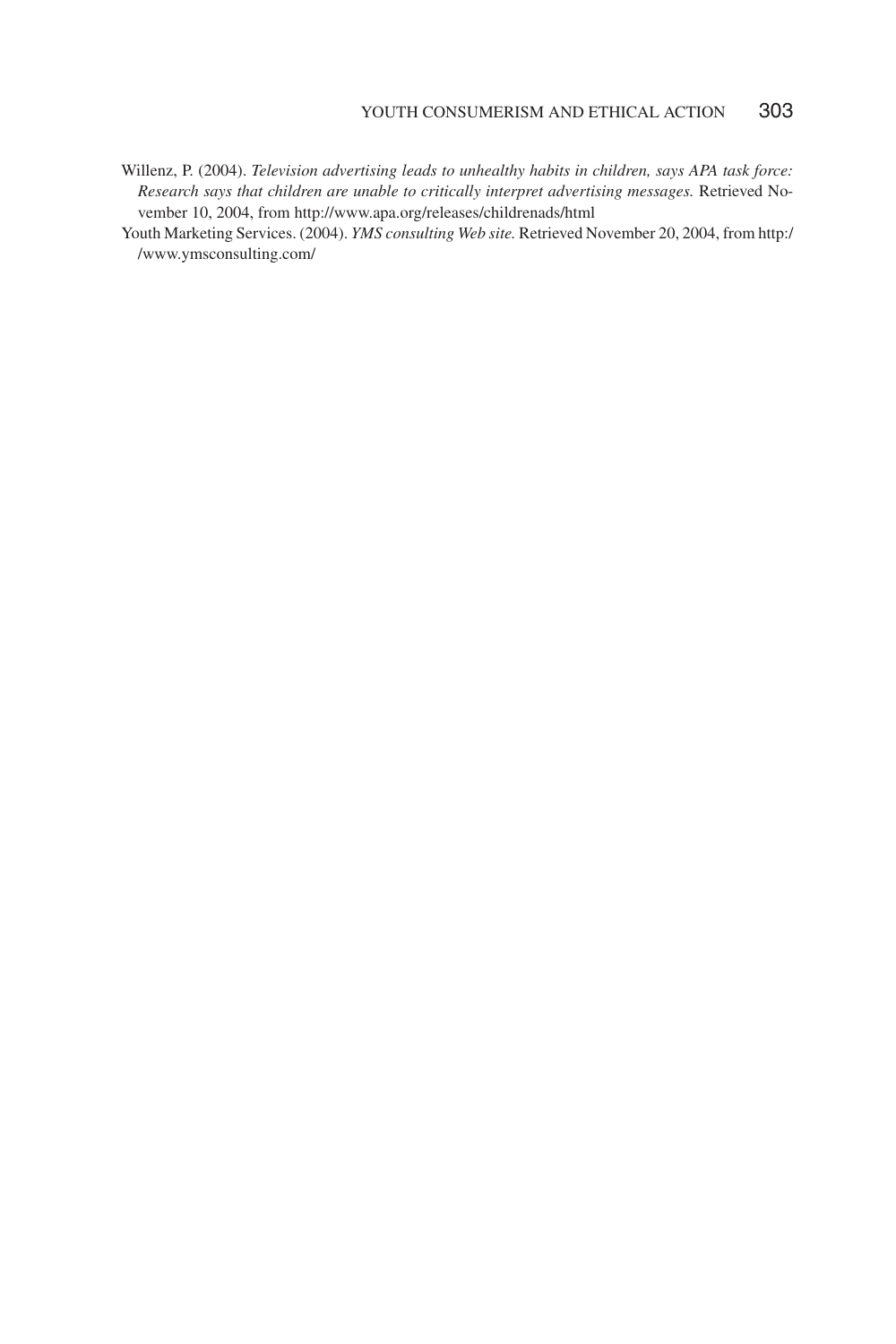- Willenz, P. (2004). *Television advertising leads to unhealthy habits in children, says APA task force: Research says that children are unable to critically interpret advertising messages.* Retrieved November 10, 2004, from http://www.apa.org/releases/childrenads/html
- Youth Marketing Services. (2004). *YMS consulting Web site.* Retrieved November 20, 2004, from http:/ /www.ymsconsulting.com/